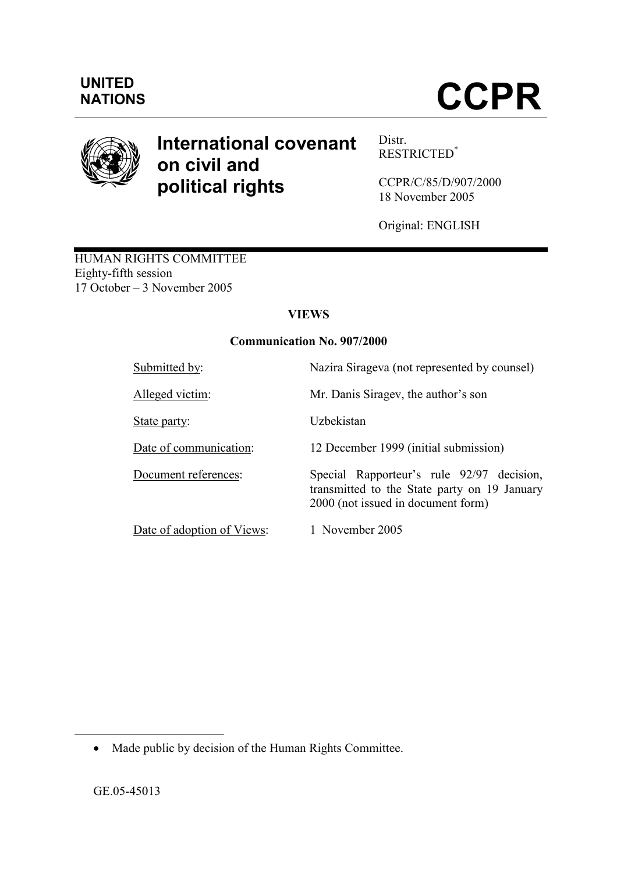

# International covenant on civil and political rights

Distr. RESTRICTED\*

CCPR/C/85/D/907/2000 18 November 2005

Original: ENGLISH

HUMAN RIGHTS COMMITTEE Eighty-fifth session 17 October – 3 November 2005

# **VIEWS**

# Communication No. 907/2000

| Submitted by:              | Nazira Sirageva (not represented by counsel)                                                                                    |
|----------------------------|---------------------------------------------------------------------------------------------------------------------------------|
| Alleged victim:            | Mr. Danis Siragev, the author's son                                                                                             |
| State party:               | Uzbekistan                                                                                                                      |
| Date of communication:     | 12 December 1999 (initial submission)                                                                                           |
| Document references:       | Special Rapporteur's rule 92/97 decision,<br>transmitted to the State party on 19 January<br>2000 (not issued in document form) |
| Date of adoption of Views: | 1 November 2005                                                                                                                 |

 $\overline{a}$ 

<sup>•</sup> Made public by decision of the Human Rights Committee.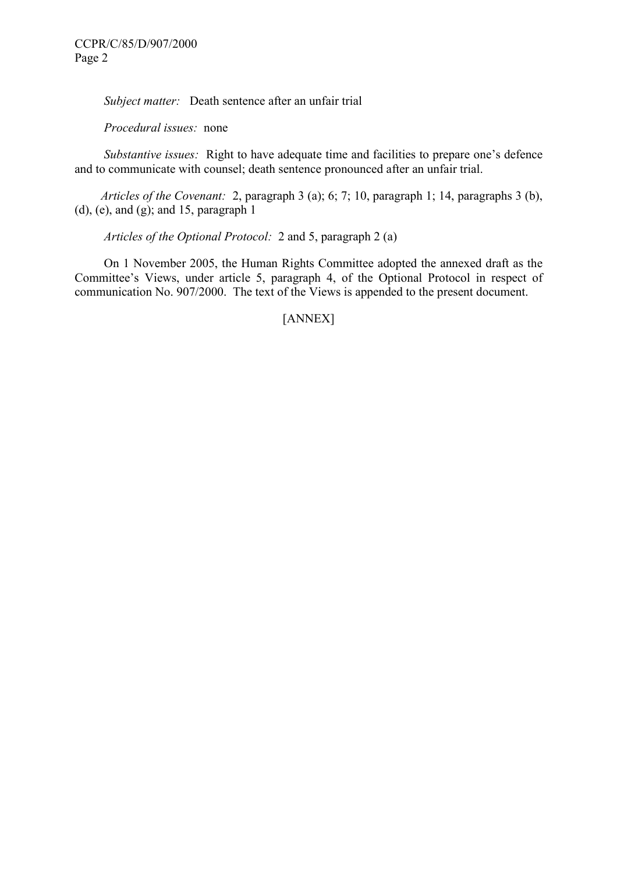Subject matter: Death sentence after an unfair trial

Procedural issues: none

Substantive issues: Right to have adequate time and facilities to prepare one's defence and to communicate with counsel; death sentence pronounced after an unfair trial.

 Articles of the Covenant: 2, paragraph 3 (a); 6; 7; 10, paragraph 1; 14, paragraphs 3 (b), (d), (e), and (g); and 15, paragraph 1

Articles of the Optional Protocol: 2 and 5, paragraph 2 (a)

 On 1 November 2005, the Human Rights Committee adopted the annexed draft as the Committee's Views, under article 5, paragraph 4, of the Optional Protocol in respect of communication No. 907/2000. The text of the Views is appended to the present document.

#### [ANNEX]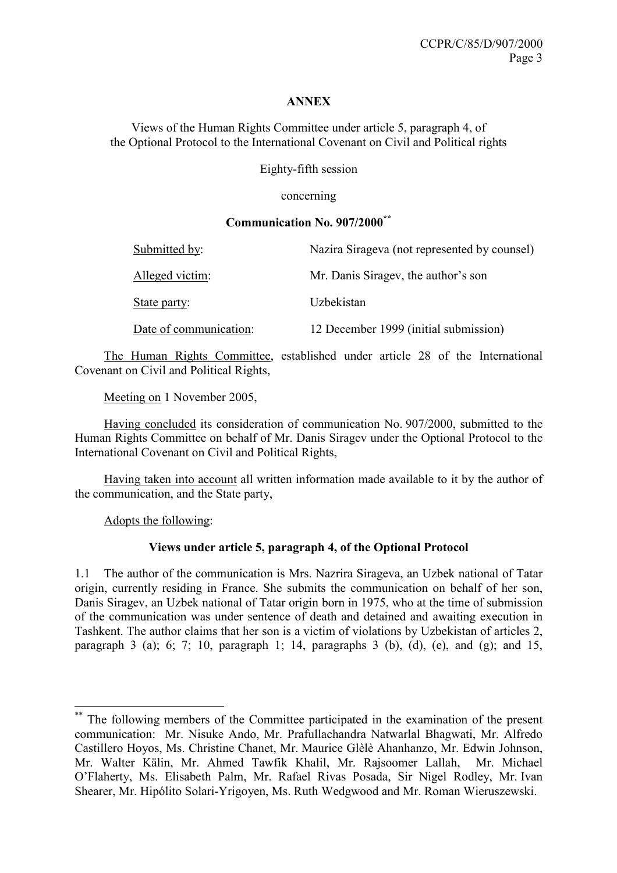#### ANNEX

Views of the Human Rights Committee under article 5, paragraph 4, of the Optional Protocol to the International Covenant on Civil and Political rights

Eighty-fifth session

concerning

# Communication No. 907/2000\*\*

| Submitted by:          | Nazira Sirageva (not represented by counsel) |
|------------------------|----------------------------------------------|
| Alleged victim:        | Mr. Danis Siragev, the author's son          |
| State party:           | Uzbekistan                                   |
| Date of communication: | 12 December 1999 (initial submission)        |

 The Human Rights Committee, established under article 28 of the International Covenant on Civil and Political Rights,

Meeting on 1 November 2005,

 Having concluded its consideration of communication No. 907/2000, submitted to the Human Rights Committee on behalf of Mr. Danis Siragev under the Optional Protocol to the International Covenant on Civil and Political Rights,

 Having taken into account all written information made available to it by the author of the communication, and the State party,

Adopts the following:

 $\overline{a}$ 

### Views under article 5, paragraph 4, of the Optional Protocol

1.1 The author of the communication is Mrs. Nazrira Sirageva, an Uzbek national of Tatar origin, currently residing in France. She submits the communication on behalf of her son, Danis Siragev, an Uzbek national of Tatar origin born in 1975, who at the time of submission of the communication was under sentence of death and detained and awaiting execution in Tashkent. The author claims that her son is a victim of violations by Uzbekistan of articles 2, paragraph 3 (a); 6; 7; 10, paragraph 1; 14, paragraphs 3 (b), (d), (e), and (g); and 15,

<sup>\*\*</sup> The following members of the Committee participated in the examination of the present communication: Mr. Nisuke Ando, Mr. Prafullachandra Natwarlal Bhagwati, Mr. Alfredo Castillero Hoyos, Ms. Christine Chanet, Mr. Maurice Glèlè Ahanhanzo, Mr. Edwin Johnson, Mr. Walter Kälin, Mr. Ahmed Tawfik Khalil, Mr. Rajsoomer Lallah, Mr. Michael O'Flaherty, Ms. Elisabeth Palm, Mr. Rafael Rivas Posada, Sir Nigel Rodley, Mr. Ivan Shearer, Mr. Hipólito Solari-Yrigoyen, Ms. Ruth Wedgwood and Mr. Roman Wieruszewski.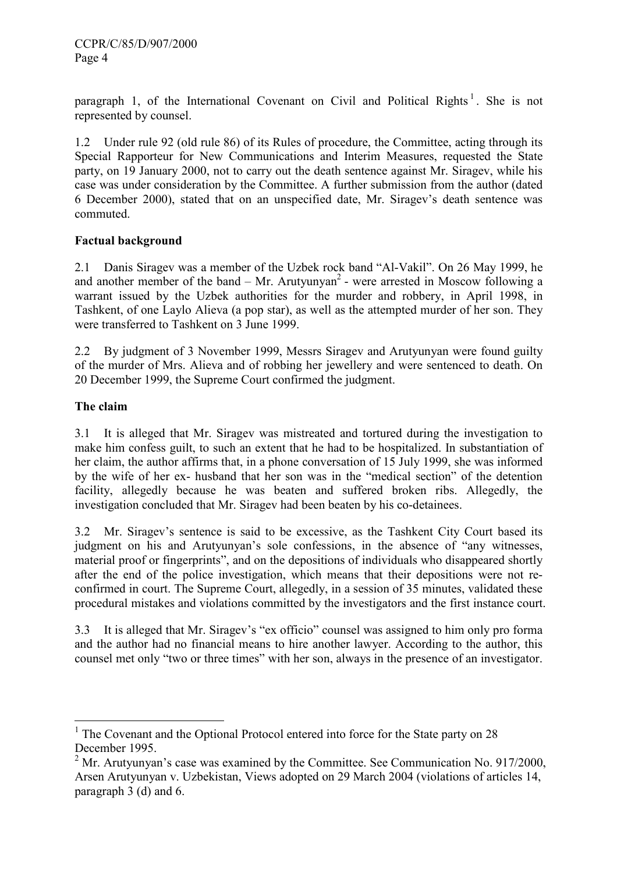paragraph 1, of the International Covenant on Civil and Political Rights<sup>1</sup>. She is not represented by counsel.

1.2 Under rule 92 (old rule 86) of its Rules of procedure, the Committee, acting through its Special Rapporteur for New Communications and Interim Measures, requested the State party, on 19 January 2000, not to carry out the death sentence against Mr. Siragev, while his case was under consideration by the Committee. A further submission from the author (dated 6 December 2000), stated that on an unspecified date, Mr. Siragev's death sentence was commuted.

### Factual background

2.1 Danis Siragev was a member of the Uzbek rock band "Al-Vakil". On 26 May 1999, he and another member of the band  $-$  Mr. Arutyunyan<sup>2</sup> - were arrested in Moscow following a warrant issued by the Uzbek authorities for the murder and robbery, in April 1998, in Tashkent, of one Laylo Alieva (a pop star), as well as the attempted murder of her son. They were transferred to Tashkent on 3 June 1999.

2.2 By judgment of 3 November 1999, Messrs Siragev and Arutyunyan were found guilty of the murder of Mrs. Alieva and of robbing her jewellery and were sentenced to death. On 20 December 1999, the Supreme Court confirmed the judgment.

### The claim

3.1 It is alleged that Mr. Siragev was mistreated and tortured during the investigation to make him confess guilt, to such an extent that he had to be hospitalized. In substantiation of her claim, the author affirms that, in a phone conversation of 15 July 1999, she was informed by the wife of her ex- husband that her son was in the "medical section" of the detention facility, allegedly because he was beaten and suffered broken ribs. Allegedly, the investigation concluded that Mr. Siragev had been beaten by his co-detainees.

3.2 Mr. Siragev's sentence is said to be excessive, as the Tashkent City Court based its judgment on his and Arutyunyan's sole confessions, in the absence of "any witnesses, material proof or fingerprints", and on the depositions of individuals who disappeared shortly after the end of the police investigation, which means that their depositions were not reconfirmed in court. The Supreme Court, allegedly, in a session of 35 minutes, validated these procedural mistakes and violations committed by the investigators and the first instance court.

3.3 It is alleged that Mr. Siragev's "ex officio" counsel was assigned to him only pro forma and the author had no financial means to hire another lawyer. According to the author, this counsel met only "two or three times" with her son, always in the presence of an investigator.

 $\overline{a}$ <sup>1</sup> The Covenant and the Optional Protocol entered into force for the State party on 28 December 1995.

 $2^2$  Mr. Arutyunyan's case was examined by the Committee. See Communication No. 917/2000, Arsen Arutyunyan v. Uzbekistan, Views adopted on 29 March 2004 (violations of articles 14, paragraph 3 (d) and 6.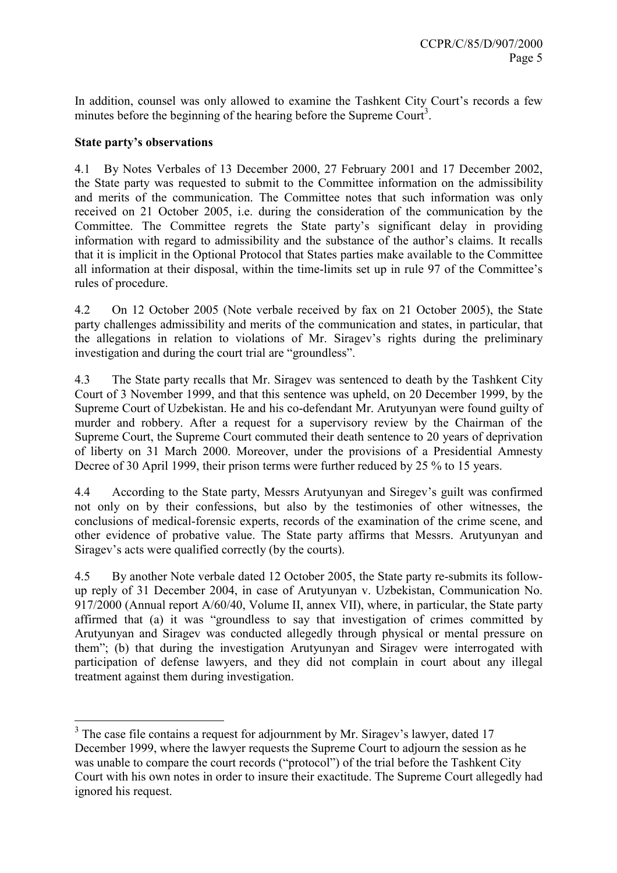In addition, counsel was only allowed to examine the Tashkent City Court's records a few minutes before the beginning of the hearing before the Supreme Court<sup>3</sup>.

### State party's observations

4.1 By Notes Verbales of 13 December 2000, 27 February 2001 and 17 December 2002, the State party was requested to submit to the Committee information on the admissibility and merits of the communication. The Committee notes that such information was only received on 21 October 2005, i.e. during the consideration of the communication by the Committee. The Committee regrets the State party's significant delay in providing information with regard to admissibility and the substance of the author's claims. It recalls that it is implicit in the Optional Protocol that States parties make available to the Committee all information at their disposal, within the time-limits set up in rule 97 of the Committee's rules of procedure.

4.2 On 12 October 2005 (Note verbale received by fax on 21 October 2005), the State party challenges admissibility and merits of the communication and states, in particular, that the allegations in relation to violations of Mr. Siragev's rights during the preliminary investigation and during the court trial are "groundless".

4.3 The State party recalls that Mr. Siragev was sentenced to death by the Tashkent City Court of 3 November 1999, and that this sentence was upheld, on 20 December 1999, by the Supreme Court of Uzbekistan. He and his co-defendant Mr. Arutyunyan were found guilty of murder and robbery. After a request for a supervisory review by the Chairman of the Supreme Court, the Supreme Court commuted their death sentence to 20 years of deprivation of liberty on 31 March 2000. Moreover, under the provisions of a Presidential Amnesty Decree of 30 April 1999, their prison terms were further reduced by 25 % to 15 years.

4.4 According to the State party, Messrs Arutyunyan and Siregev's guilt was confirmed not only on by their confessions, but also by the testimonies of other witnesses, the conclusions of medical-forensic experts, records of the examination of the crime scene, and other evidence of probative value. The State party affirms that Messrs. Arutyunyan and Siragev's acts were qualified correctly (by the courts).

4.5 By another Note verbale dated 12 October 2005, the State party re-submits its followup reply of 31 December 2004, in case of Arutyunyan v. Uzbekistan, Communication No. 917/2000 (Annual report A/60/40, Volume II, annex VII), where, in particular, the State party affirmed that (a) it was "groundless to say that investigation of crimes committed by Arutyunyan and Siragev was conducted allegedly through physical or mental pressure on them"; (b) that during the investigation Arutyunyan and Siragev were interrogated with participation of defense lawyers, and they did not complain in court about any illegal treatment against them during investigation.

<sup>&</sup>lt;sup>3</sup> The case file contains a request for adjournment by Mr. Siragev's lawyer, dated 17 December 1999, where the lawyer requests the Supreme Court to adjourn the session as he was unable to compare the court records ("protocol") of the trial before the Tashkent City Court with his own notes in order to insure their exactitude. The Supreme Court allegedly had ignored his request.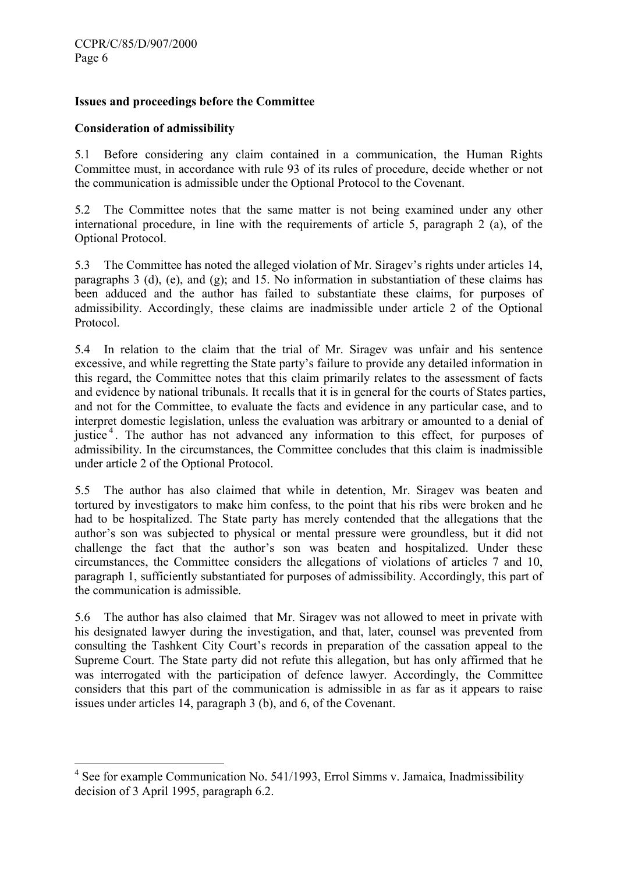### Issues and proceedings before the Committee

#### Consideration of admissibility

5.1 Before considering any claim contained in a communication, the Human Rights Committee must, in accordance with rule 93 of its rules of procedure, decide whether or not the communication is admissible under the Optional Protocol to the Covenant.

5.2 The Committee notes that the same matter is not being examined under any other international procedure, in line with the requirements of article 5, paragraph 2 (a), of the Optional Protocol.

5.3 The Committee has noted the alleged violation of Mr. Siragev's rights under articles 14, paragraphs 3 (d), (e), and (g); and 15. No information in substantiation of these claims has been adduced and the author has failed to substantiate these claims, for purposes of admissibility. Accordingly, these claims are inadmissible under article 2 of the Optional Protocol.

5.4 In relation to the claim that the trial of Mr. Siragev was unfair and his sentence excessive, and while regretting the State party's failure to provide any detailed information in this regard, the Committee notes that this claim primarily relates to the assessment of facts and evidence by national tribunals. It recalls that it is in general for the courts of States parties, and not for the Committee, to evaluate the facts and evidence in any particular case, and to interpret domestic legislation, unless the evaluation was arbitrary or amounted to a denial of justice<sup>4</sup>. The author has not advanced any information to this effect, for purposes of admissibility. In the circumstances, the Committee concludes that this claim is inadmissible under article 2 of the Optional Protocol.

5.5 The author has also claimed that while in detention, Mr. Siragev was beaten and tortured by investigators to make him confess, to the point that his ribs were broken and he had to be hospitalized. The State party has merely contended that the allegations that the author's son was subjected to physical or mental pressure were groundless, but it did not challenge the fact that the author's son was beaten and hospitalized. Under these circumstances, the Committee considers the allegations of violations of articles 7 and 10, paragraph 1, sufficiently substantiated for purposes of admissibility. Accordingly, this part of the communication is admissible.

5.6 The author has also claimed that Mr. Siragev was not allowed to meet in private with his designated lawyer during the investigation, and that, later, counsel was prevented from consulting the Tashkent City Court's records in preparation of the cassation appeal to the Supreme Court. The State party did not refute this allegation, but has only affirmed that he was interrogated with the participation of defence lawyer. Accordingly, the Committee considers that this part of the communication is admissible in as far as it appears to raise issues under articles 14, paragraph 3 (b), and 6, of the Covenant.

 4 See for example Communication No. 541/1993, Errol Simms v. Jamaica, Inadmissibility decision of 3 April 1995, paragraph 6.2.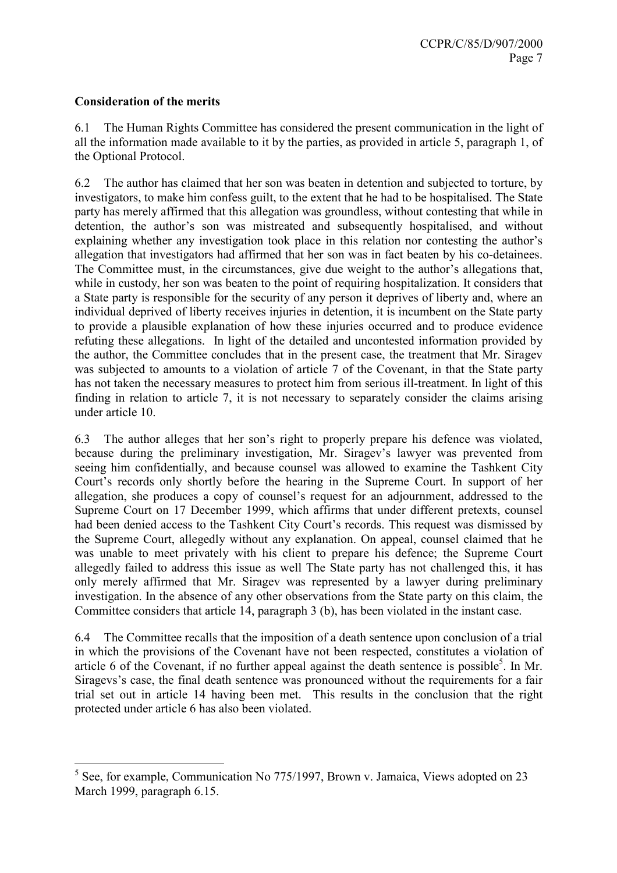### Consideration of the merits

 $\overline{a}$ 

6.1 The Human Rights Committee has considered the present communication in the light of all the information made available to it by the parties, as provided in article 5, paragraph 1, of the Optional Protocol.

6.2 The author has claimed that her son was beaten in detention and subjected to torture, by investigators, to make him confess guilt, to the extent that he had to be hospitalised. The State party has merely affirmed that this allegation was groundless, without contesting that while in detention, the author's son was mistreated and subsequently hospitalised, and without explaining whether any investigation took place in this relation nor contesting the author's allegation that investigators had affirmed that her son was in fact beaten by his co-detainees. The Committee must, in the circumstances, give due weight to the author's allegations that, while in custody, her son was beaten to the point of requiring hospitalization. It considers that a State party is responsible for the security of any person it deprives of liberty and, where an individual deprived of liberty receives injuries in detention, it is incumbent on the State party to provide a plausible explanation of how these injuries occurred and to produce evidence refuting these allegations. In light of the detailed and uncontested information provided by the author, the Committee concludes that in the present case, the treatment that Mr. Siragev was subjected to amounts to a violation of article 7 of the Covenant, in that the State party has not taken the necessary measures to protect him from serious ill-treatment. In light of this finding in relation to article 7, it is not necessary to separately consider the claims arising under article 10.

6.3 The author alleges that her son's right to properly prepare his defence was violated, because during the preliminary investigation, Mr. Siragev's lawyer was prevented from seeing him confidentially, and because counsel was allowed to examine the Tashkent City Court's records only shortly before the hearing in the Supreme Court. In support of her allegation, she produces a copy of counsel's request for an adjournment, addressed to the Supreme Court on 17 December 1999, which affirms that under different pretexts, counsel had been denied access to the Tashkent City Court's records. This request was dismissed by the Supreme Court, allegedly without any explanation. On appeal, counsel claimed that he was unable to meet privately with his client to prepare his defence; the Supreme Court allegedly failed to address this issue as well The State party has not challenged this, it has only merely affirmed that Mr. Siragev was represented by a lawyer during preliminary investigation. In the absence of any other observations from the State party on this claim, the Committee considers that article 14, paragraph 3 (b), has been violated in the instant case.

6.4 The Committee recalls that the imposition of a death sentence upon conclusion of a trial in which the provisions of the Covenant have not been respected, constitutes a violation of article 6 of the Covenant, if no further appeal against the death sentence is possible<sup>5</sup>. In Mr. Siragevs's case, the final death sentence was pronounced without the requirements for a fair trial set out in article 14 having been met. This results in the conclusion that the right protected under article 6 has also been violated.

<sup>&</sup>lt;sup>5</sup> See, for example, Communication No 775/1997, Brown v. Jamaica, Views adopted on 23 March 1999, paragraph 6.15.